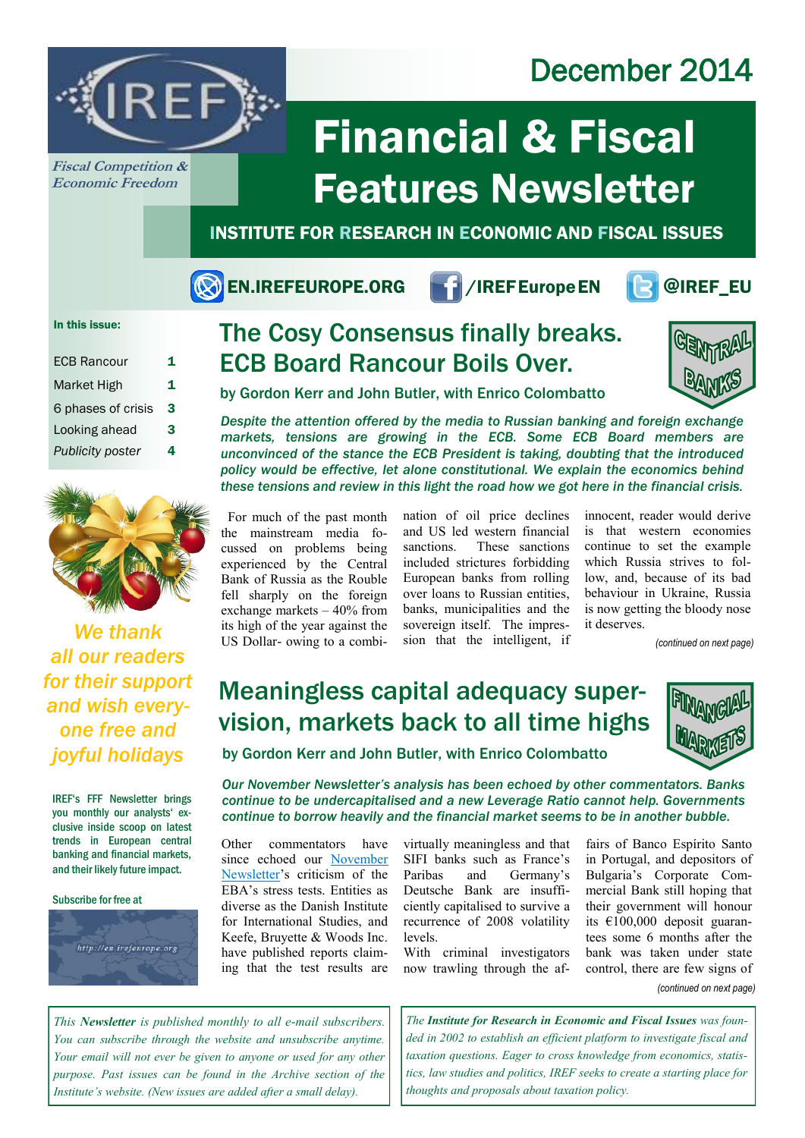## December 2014



**Fiscal Competition & Economic Freedom**

# Financial & Fiscal Features Newsletter

INSTITUTE FOR RESEARCH IN ECONOMIC AND FISCAL ISSUES

EN.IREFEUROPE.ORG 1/IREFEurope EN **POIREF\_EU** 



### In this issue:

| <b>ECB Rancour</b>      | 1 |
|-------------------------|---|
| Market High             | 1 |
| 6 phases of crisis      | 3 |
| Looking ahead           | 3 |
| <b>Publicity poster</b> | 4 |



*We thank all our readers for their support and wish everyone free and joyful holidays* 

IREF's FFF Newsletter brings you monthly our analysts' exclusive inside scoop on latest trends in European central banking and financial markets, and their likely future impact.

Subscribe for free at



## The Cosy Consensus finally breaks. ECB Board Rancour Boils Over.



by Gordon Kerr and John Butler, with Enrico Colombatto

*Despite the attention offered by the media to Russian banking and foreign exchange markets, tensions are growing in the ECB. Some ECB Board members are unconvinced of the stance the ECB President is taking, doubting that the introduced policy would be effective, let alone constitutional. We explain the economics behind these tensions and review in this light the road how we got here in the financial crisis.*

For much of the past month the mainstream media focussed on problems being experienced by the Central Bank of Russia as the Rouble fell sharply on the foreign exchange markets – 40% from its high of the year against the US Dollar- owing to a combination of oil price declines and US led western financial sanctions. These sanctions included strictures forbidding European banks from rolling over loans to Russian entities, banks, municipalities and the sovereign itself. The impression that the intelligent, if

innocent, reader would derive is that western economies continue to set the example which Russia strives to follow, and, because of its bad behaviour in Ukraine, Russia is now getting the bloody nose it deserves.

*(continued on next page)*

### Meaningless capital adequacy supervision, markets back to all time highs



by Gordon Kerr and John Butler, with Enrico Colombatto

*Our November Newsletter's analysis has been echoed by other commentators. Banks continue to be undercapitalised and a new Leverage Ratio cannot help. Governments continue to borrow heavily and the financial market seems to be in another bubble.*

Other commentators have since echoed our [November](http://en.irefeurope.org/1031)  [Newsletter'](http://en.irefeurope.org/1031)s criticism of the EBA's stress tests. Entities as diverse as the Danish Institute for International Studies, and Keefe, Bruyette & Woods Inc. have published reports claiming that the test results are

virtually meaningless and that SIFI banks such as France's Paribas and Germany's Deutsche Bank are insufficiently capitalised to survive a recurrence of 2008 volatility levels.

With criminal investigators now trawling through the af-

control, there are few signs of fairs of Banco Espírito Santo in Portugal, and depositors of Bulgaria's Corporate Commercial Bank still hoping that their government will honour its €100,000 deposit guarantees some 6 months after the bank was taken under state *(continued on next page)*

*This Newsletter is published monthly to all e-mail subscribers. You can subscribe through the website and unsubscribe anytime. Your email will not ever be given to anyone or used for any other purpose. Past issues can be found in the Archive section of the Institute's website. (New issues are added after a small delay).* 

*The Institute for Research in Economic and Fiscal Issues was founded in 2002 to establish an efficient platform to investigate fiscal and taxation questions. Eager to cross knowledge from economics, statistics, law studies and politics, IREF seeks to create a starting place for thoughts and proposals about taxation policy.*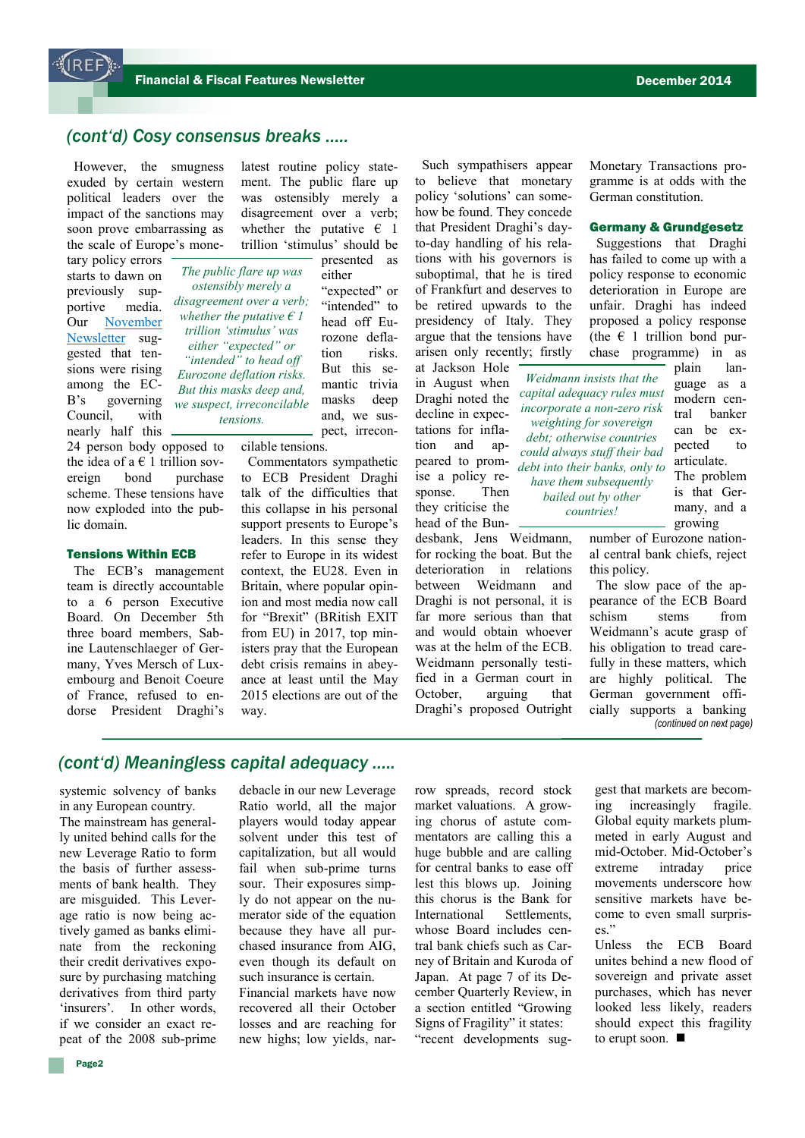### *(cont'd) Cosy consensus breaks …..*

However, the smugness exuded by certain western political leaders over the impact of the sanctions may soon prove embarrassing as the scale of Europe's mone-

tary policy errors starts to dawn on previously supportive media. Our [November](http://en.irefeurope.org/1031)  [Newsletter](http://en.irefeurope.org/1031) suggested that tensions were rising among the EC-B's governing Council, with nearly half this

24 person body opposed to the idea of a  $\epsilon$  1 trillion sovereign bond purchase scheme. These tensions have now exploded into the public domain.

### Tensions Within ECB

The ECB's management team is directly accountable to a 6 person Executive Board. On December 5th three board members, Sabine Lautenschlaeger of Germany, Yves Mersch of Luxembourg and Benoit Coeure of France, refused to endorse President Draghi's

latest routine policy statement. The public flare up was ostensibly merely a disagreement over a verb; whether the putative  $\epsilon$  1 trillion 'stimulus' should be

*The public flare up was ostensibly merely a disagreement over a verb; whether the putative € 1 trillion 'stimulus' was either "expected" or "intended" to head off Eurozone deflation risks. But this masks deep and, we suspect, irreconcilable tensions.*

presented as either "expected" or "intended" to head off Eurozone deflation risks. But this semantic trivia masks deep and, we suspect, irrecon-

cilable tensions.

Commentators sympathetic to ECB President Draghi talk of the difficulties that this collapse in his personal support presents to Europe's leaders. In this sense they refer to Europe in its widest context, the EU28. Even in Britain, where popular opinion and most media now call for "Brexit" (BRitish EXIT from EU) in 2017, top ministers pray that the European debt crisis remains in abeyance at least until the May 2015 elections are out of the way.

Such sympathisers appear to believe that monetary policy 'solutions' can somehow be found. They concede that President Draghi's dayto-day handling of his relations with his governors is suboptimal, that he is tired of Frankfurt and deserves to be retired upwards to the presidency of Italy. They argue that the tensions have arisen only recently; firstly at Jackson Hole

in August when Draghi noted the decline in expectations for inflation and appeared to promise a policy response. Then they criticise the head of the Bun-

desbank, Jens Weidmann, for rocking the boat. But the deterioration in relations between Weidmann and Draghi is not personal, it is far more serious than that and would obtain whoever was at the helm of the ECB. Weidmann personally testified in a German court in October, arguing that Draghi's proposed Outright

Monetary Transactions programme is at odds with the German constitution.

### Germany & Grundgesetz

Suggestions that Draghi has failed to come up with a policy response to economic deterioration in Europe are unfair. Draghi has indeed proposed a policy response (the  $\epsilon$  1 trillion bond purchase programme) in as

*Weidmann insists that the capital adequacy rules must incorporate a non-zero risk weighting for sovereign debt; otherwise countries could always stuff their bad debt into their banks, only to have them subsequently bailed out by other countries!*

plain language as a modern central banker can be expected to articulate. The problem is that Germany, and a growing

number of Eurozone national central bank chiefs, reject this policy.

The slow pace of the appearance of the ECB Board schism stems from Weidmann's acute grasp of his obligation to tread carefully in these matters, which are highly political. The German government officially supports a banking *(continued on next page)*

### *(cont'd) Meaningless capital adequacy …..*

in any European country.

systemic solvency of banks<br>in any European country.<br>The mainstream has general-<br>ly united behind calls for the<br>new Leverage Ratio to form<br>the basis of further assess-<br>ments of bank health. They<br>are misguided. This Lever-<br>a The mainstream has generally united behind calls for the new Leverage Ratio to form the basis of further assessments of bank health. They are misguided. This Leverage ratio is now being actively gamed as banks eliminate from the reckoning their credit derivatives exposure by purchasing matching derivatives from third party 'insurers'. In other words, if we consider an exact repeat of the 2008 sub-prime

debacle in our new Leverage Ratio world, all the major players would today appear solvent under this test of capitalization, but all would fail when sub-prime turns sour. Their exposures simply do not appear on the numerator side of the equation because they have all purchased insurance from AIG, even though its default on such insurance is certain.

Financial markets have now recovered all their October losses and are reaching for new highs; low yields, narrow spreads, record stock market valuations. A growing chorus of astute commentators are calling this a huge bubble and are calling for central banks to ease off lest this blows up. Joining this chorus is the Bank for International Settlements, whose Board includes central bank chiefs such as Carney of Britain and Kuroda of Japan. At page 7 of its December Quarterly Review, in a section entitled "Growing Signs of Fragility" it states: "recent developments suggest that markets are becoming increasingly fragile. Global equity markets plummeted in early August and mid-October. Mid-October's extreme intraday price movements underscore how sensitive markets have become to even small surprises"

Unless the ECB Board unites behind a new flood of sovereign and private asset purchases, which has never looked less likely, readers should expect this fragility to erupt soon. ■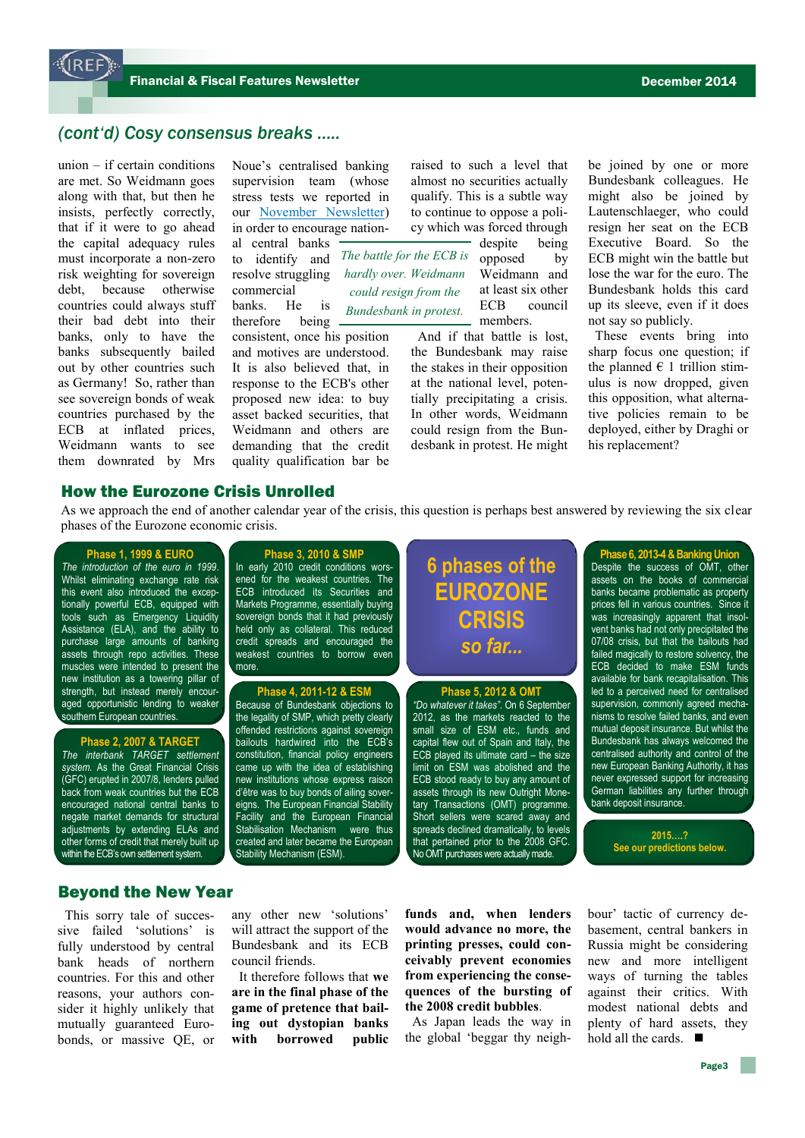### *(cont'd) Cosy consensus breaks …..*

union – if certain conditions are met. So Weidmann goes along with that, but then he insists, perfectly correctly, that if it were to go ahead the capital adequacy rules must incorporate a non-zero risk weighting for sovereign debt, because otherwise countries could always stuff their bad debt into their banks, only to have the banks subsequently bailed out by other countries such as Germany! So, rather than see sovereign bonds of weak countries purchased by the ECB at inflated prices, Weidmann wants to see them downrated by Mrs Noue's centralised banking supervision team (whose stress tests we reported in our [November Newsletter\)](http://en.irefeurope.org/1031)  in order to encourage national central banks to identify and resolve struggling commercial banks. He is therefore being consistent, once his position and motives are understood. It is also believed that, in *The battle for the ECB is hardly over. Weidmann could resign from the Bundesbank in protest.* 

response to the ECB's other proposed new idea: to buy asset backed securities, that Weidmann and others are demanding that the credit quality qualification bar be

raised to such a level that almost no securities actually qualify. This is a subtle way to continue to oppose a policy which was forced through

> despite being opposed by Weidmann and at least six other ECB council members.

And if that battle is lost, the Bundesbank may raise the stakes in their opposition at the national level, potentially precipitating a crisis. In other words, Weidmann could resign from the Bundesbank in protest. He might be joined by one or more Bundesbank colleagues. He might also be joined by Lautenschlaeger, who could resign her seat on the ECB Executive Board. So the ECB might win the battle but lose the war for the euro. The Bundesbank holds this card up its sleeve, even if it does not say so publicly.

These events bring into sharp focus one question; if the planned  $\in$  1 trillion stimulus is now dropped, given this opposition, what alternative policies remain to be deployed, either by Draghi or his replacement?

### How the Eurozone Crisis Unrolled

As we approach the end of another calendar year of the crisis, this question is perhaps best answered by reviewing the six clear phases of the Eurozone economic crisis.

#### **Phase 1, 1999 & EURO**

*The introduction of the euro in 1999*. Whilst eliminating exchange rate risk this event also introduced the exceptionally powerful ECB, equipped with tools such as Emergency Liquidity Assistance (ELA), and the ability to purchase large amounts of banking assets through repo activities. These muscles were intended to present the new institution as a towering pillar of strength, but instead merely encouraged opportunistic lending to weaker southern European countries.

### **Phase 2, 2007 & TARGET**

*The interbank TARGET settlement system.* As the Great Financial Crisis (GFC) erupted in 2007/8, lenders pulled back from weak countries but the ECB encouraged national central banks to negate market demands for structural adjustments by extending ELAs and other forms of credit that merely built up within the ECB's own settlement system.

**Phase 3, 2010 & SMP** In early 2010 credit conditions worsened for the weakest countries. The ECB introduced its Securities and Markets Programme, essentially buying sovereign bonds that it had previously held only as collateral. This reduced credit spreads and encouraged the weakest countries to borrow even more.

### **Phase 4, 2011-12 & ESM**

Because of Bundesbank objections to the legality of SMP, which pretty clearly offended restrictions against sovereign bailouts hardwired into the ECB's constitution, financial policy engineers came up with the idea of establishing new institutions whose express raison d'être was to buy bonds of ailing sovereigns. The European Financial Stability Facility and the European Financial Stabilisation Mechanism were thus created and later became the European Stability Mechanism (ESM).

### **6 phases of the EUROZONE CRISIS** *so far...*

#### **Phase 5, 2012 & OMT**

*"Do whatever it takes"*. On 6 September 2012, as the markets reacted to the small size of ESM etc., funds and capital flew out of Spain and Italy, the ECB played its ultimate card – the size limit on ESM was abolished and the ECB stood ready to buy any amount of assets through its new Outright Monetary Transactions (OMT) programme. Short sellers were scared away and spreads declined dramatically, to levels that pertained prior to the 2008 GFC. No OMT purchases were actually made.

**Phase 6, 2013-4 & Banking Union** Despite the success of OMT, other assets on the books of commercial banks became problematic as property prices fell in various countries. Since it was increasingly apparent that insolvent banks had not only precipitated the 07/08 crisis, but that the bailouts had failed magically to restore solvency, the ECB decided to make ESM funds available for bank recapitalisation. This led to a perceived need for centralised supervision, commonly agreed mechanisms to resolve failed banks, and even mutual deposit insurance. But whilst the **Bundesbank has always welcomed the** centralised authority and control of the new European Banking Authority, it has never expressed support for increasing German liabilities any further through bank deposit insurance.

> **2015….? See our predictions below.**

### Beyond the New Year

This sorry tale of successive failed 'solutions' is fully understood by central bank heads of northern countries. For this and other reasons, your authors consider it highly unlikely that mutually guaranteed Eurobonds, or massive QE, or

any other new 'solutions' will attract the support of the Bundesbank and its ECB council friends.

It therefore follows that **we are in the final phase of the game of pretence that bailing out dystopian banks with borrowed public**  **funds and, when lenders would advance no more, the printing presses, could conceivably prevent economies from experiencing the consequences of the bursting of the 2008 credit bubbles**.

As Japan leads the way in the global 'beggar thy neighbour' tactic of currency debasement, central bankers in Russia might be considering new and more intelligent ways of turning the tables against their critics. With modest national debts and plenty of hard assets, they hold all the cards.  $\blacksquare$